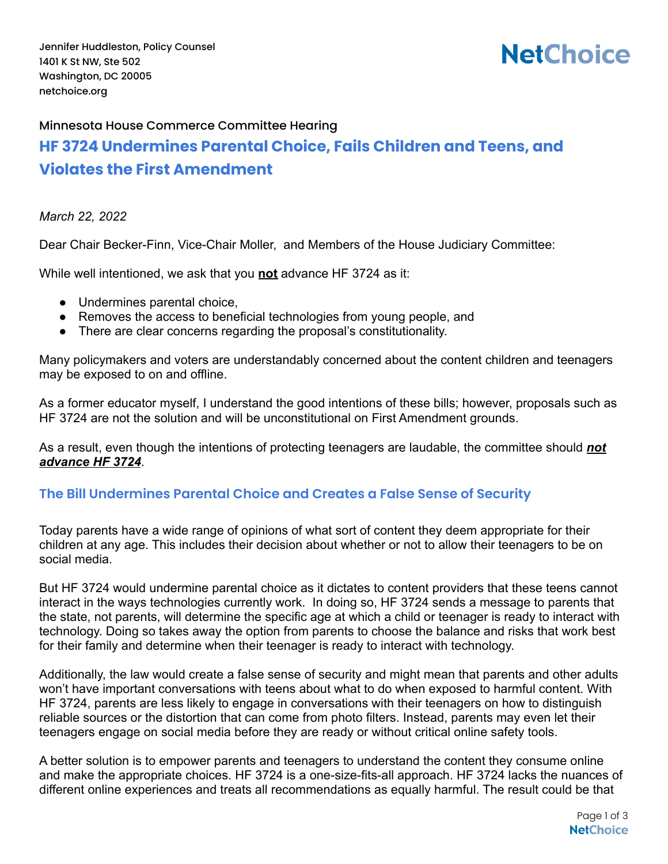# **NetChoice**

## Minnesota House Commerce Committee Hearing **HF 3724 Undermines Parental Choice, Fails Children and Teens, and Violates the First Amendment**

#### *March 22, 2022*

Dear Chair Becker-Finn, Vice-Chair Moller, and Members of the House Judiciary Committee:

While well intentioned, we ask that you **not** advance HF 3724 as it:

- Undermines parental choice,
- Removes the access to beneficial technologies from young people, and
- There are clear concerns regarding the proposal's constitutionality.

Many policymakers and voters are understandably concerned about the content children and teenagers may be exposed to on and offline.

As a former educator myself, I understand the good intentions of these bills; however, proposals such as HF 3724 are not the solution and will be unconstitutional on First Amendment grounds.

As a result, even though the intentions of protecting teenagers are laudable, the committee should *not advance HF 3724*.

#### **The Bill Undermines Parental Choice and Creates a False Sense of Security**

Today parents have a wide range of opinions of what sort of content they deem appropriate for their children at any age. This includes their decision about whether or not to allow their teenagers to be on social media.

But HF 3724 would undermine parental choice as it dictates to content providers that these teens cannot interact in the ways technologies currently work. In doing so, HF 3724 sends a message to parents that the state, not parents, will determine the specific age at which a child or teenager is ready to interact with technology. Doing so takes away the option from parents to choose the balance and risks that work best for their family and determine when their teenager is ready to interact with technology.

Additionally, the law would create a false sense of security and might mean that parents and other adults won't have important conversations with teens about what to do when exposed to harmful content. With HF 3724, parents are less likely to engage in conversations with their teenagers on how to distinguish reliable sources or the distortion that can come from photo filters. Instead, parents may even let their teenagers engage on social media before they are ready or without critical online safety tools.

A better solution is to empower parents and teenagers to understand the content they consume online and make the appropriate choices. HF 3724 is a one-size-fits-all approach. HF 3724 lacks the nuances of different online experiences and treats all recommendations as equally harmful. The result could be that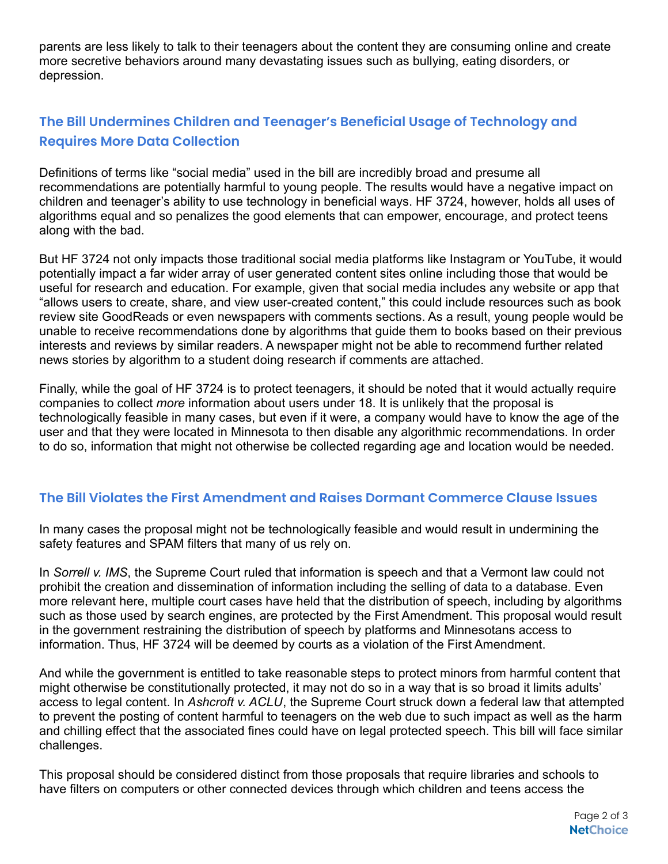parents are less likely to talk to their teenagers about the content they are consuming online and create more secretive behaviors around many devastating issues such as bullying, eating disorders, or depression.

### **The Bill Undermines Children and Teenager's Beneficial Usage of Technology and Requires More Data Collection**

Definitions of terms like "social media" used in the bill are incredibly broad and presume all recommendations are potentially harmful to young people. The results would have a negative impact on children and teenager's ability to use technology in beneficial ways. HF 3724, however, holds all uses of algorithms equal and so penalizes the good elements that can empower, encourage, and protect teens along with the bad.

But HF 3724 not only impacts those traditional social media platforms like Instagram or YouTube, it would potentially impact a far wider array of user generated content sites online including those that would be useful for research and education. For example, given that social media includes any website or app that "allows users to create, share, and view user-created content," this could include resources such as book review site GoodReads or even newspapers with comments sections. As a result, young people would be unable to receive recommendations done by algorithms that guide them to books based on their previous interests and reviews by similar readers. A newspaper might not be able to recommend further related news stories by algorithm to a student doing research if comments are attached.

Finally, while the goal of HF 3724 is to protect teenagers, it should be noted that it would actually require companies to collect *more* information about users under 18. It is unlikely that the proposal is technologically feasible in many cases, but even if it were, a company would have to know the age of the user and that they were located in Minnesota to then disable any algorithmic recommendations. In order to do so, information that might not otherwise be collected regarding age and location would be needed.

#### **The Bill Violates the First Amendment and Raises Dormant Commerce Clause Issues**

In many cases the proposal might not be technologically feasible and would result in undermining the safety features and SPAM filters that many of us rely on.

In *Sorrell v. IMS*, the Supreme Court ruled that information is speech and that a Vermont law could not prohibit the creation and dissemination of information including the selling of data to a database. Even more relevant here, multiple court cases have held that the distribution of speech, including by algorithms such as those used by search engines, are protected by the First Amendment. This proposal would result in the government restraining the distribution of speech by platforms and Minnesotans access to information. Thus, HF 3724 will be deemed by courts as a violation of the First Amendment.

And while the government is entitled to take reasonable steps to protect minors from harmful content that might otherwise be constitutionally protected, it may not do so in a way that is so broad it limits adults' access to legal content. In *Ashcroft v. ACLU*, the Supreme Court struck down a federal law that attempted to prevent the posting of content harmful to teenagers on the web due to such impact as well as the harm and chilling effect that the associated fines could have on legal protected speech. This bill will face similar challenges.

This proposal should be considered distinct from those proposals that require libraries and schools to have filters on computers or other connected devices through which children and teens access the